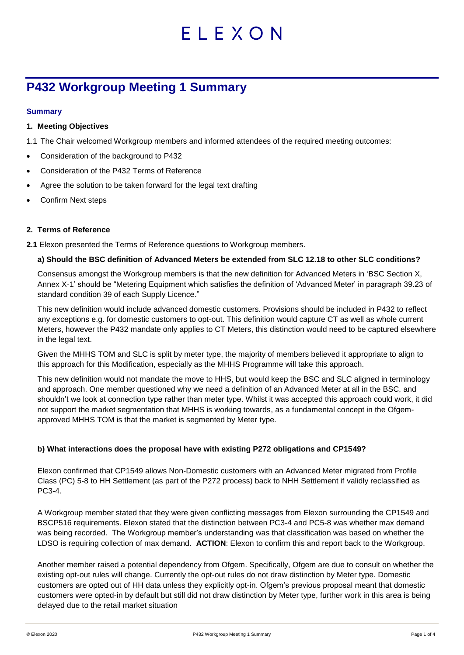# ELEXON

# **P432 Workgroup Meeting 1 Summary**

#### **Summary**

#### **1. Meeting Objectives**

- 1.1 The Chair welcomed Workgroup members and informed attendees of the required meeting outcomes:
- Consideration of the background to P432
- Consideration of the P432 Terms of Reference
- Agree the solution to be taken forward for the legal text drafting
- Confirm Next steps

# **2. Terms of Reference**

**2.1** Elexon presented the Terms of Reference questions to Workgroup members.

#### **a) Should the BSC definition of Advanced Meters be extended from SLC 12.18 to other SLC conditions?**

Consensus amongst the Workgroup members is that the new definition for Advanced Meters in 'BSC Section X, Annex X-1' should be "Metering Equipment which satisfies the definition of 'Advanced Meter' in paragraph 39.23 of standard condition 39 of each Supply Licence."

This new definition would include advanced domestic customers. Provisions should be included in P432 to reflect any exceptions e.g. for domestic customers to opt-out. This definition would capture CT as well as whole current Meters, however the P432 mandate only applies to CT Meters, this distinction would need to be captured elsewhere in the legal text.

Given the MHHS TOM and SLC is split by meter type, the majority of members believed it appropriate to align to this approach for this Modification, especially as the MHHS Programme will take this approach.

This new definition would not mandate the move to HHS, but would keep the BSC and SLC aligned in terminology and approach. One member questioned why we need a definition of an Advanced Meter at all in the BSC, and shouldn't we look at connection type rather than meter type. Whilst it was accepted this approach could work, it did not support the market segmentation that MHHS is working towards, as a fundamental concept in the Ofgemapproved MHHS TOM is that the market is segmented by Meter type.

# **b) What interactions does the proposal have with existing P272 obligations and CP1549?**

Elexon confirmed that CP1549 allows Non-Domestic customers with an Advanced Meter migrated from Profile Class (PC) 5-8 to HH Settlement (as part of the P272 process) back to NHH Settlement if validly reclassified as PC3-4.

A Workgroup member stated that they were given conflicting messages from Elexon surrounding the CP1549 and BSCP516 requirements. Elexon stated that the distinction between PC3-4 and PC5-8 was whether max demand was being recorded. The Workgroup member's understanding was that classification was based on whether the LDSO is requiring collection of max demand. **ACTION**: Elexon to confirm this and report back to the Workgroup.

Another member raised a potential dependency from Ofgem. Specifically, Ofgem are due to consult on whether the existing opt-out rules will change. Currently the opt-out rules do not draw distinction by Meter type. Domestic customers are opted out of HH data unless they explicitly opt-in. Ofgem's previous proposal meant that domestic customers were opted-in by default but still did not draw distinction by Meter type, further work in this area is being delayed due to the retail market situation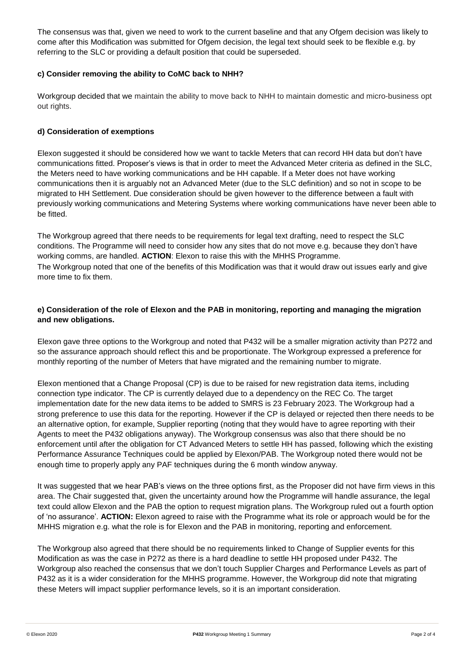The consensus was that, given we need to work to the current baseline and that any Ofgem decision was likely to come after this Modification was submitted for Ofgem decision, the legal text should seek to be flexible e.g. by referring to the SLC or providing a default position that could be superseded.

# **c) Consider removing the ability to CoMC back to NHH?**

Workgroup decided that we maintain the ability to move back to NHH to maintain domestic and micro-business opt out rights.

# **d) Consideration of exemptions**

Elexon suggested it should be considered how we want to tackle Meters that can record HH data but don't have communications fitted. Proposer's views is that in order to meet the Advanced Meter criteria as defined in the SLC, the Meters need to have working communications and be HH capable. If a Meter does not have working communications then it is arguably not an Advanced Meter (due to the SLC definition) and so not in scope to be migrated to HH Settlement. Due consideration should be given however to the difference between a fault with previously working communications and Metering Systems where working communications have never been able to be fitted.

The Workgroup agreed that there needs to be requirements for legal text drafting, need to respect the SLC conditions. The Programme will need to consider how any sites that do not move e.g. because they don't have working comms, are handled. **ACTION**: Elexon to raise this with the MHHS Programme. The Workgroup noted that one of the benefits of this Modification was that it would draw out issues early and give more time to fix them.

# **e) Consideration of the role of Elexon and the PAB in monitoring, reporting and managing the migration and new obligations.**

Elexon gave three options to the Workgroup and noted that P432 will be a smaller migration activity than P272 and so the assurance approach should reflect this and be proportionate. The Workgroup expressed a preference for monthly reporting of the number of Meters that have migrated and the remaining number to migrate.

Elexon mentioned that a Change Proposal (CP) is due to be raised for new registration data items, including connection type indicator. The CP is currently delayed due to a dependency on the REC Co. The target implementation date for the new data items to be added to SMRS is 23 February 2023. The Workgroup had a strong preference to use this data for the reporting. However if the CP is delayed or rejected then there needs to be an alternative option, for example, Supplier reporting (noting that they would have to agree reporting with their Agents to meet the P432 obligations anyway). The Workgroup consensus was also that there should be no enforcement until after the obligation for CT Advanced Meters to settle HH has passed, following which the existing Performance Assurance Techniques could be applied by Elexon/PAB. The Workgroup noted there would not be enough time to properly apply any PAF techniques during the 6 month window anyway.

It was suggested that we hear PAB's views on the three options first, as the Proposer did not have firm views in this area. The Chair suggested that, given the uncertainty around how the Programme will handle assurance, the legal text could allow Elexon and the PAB the option to request migration plans. The Workgroup ruled out a fourth option of 'no assurance'. **ACTION:** Elexon agreed to raise with the Programme what its role or approach would be for the MHHS migration e.g. what the role is for Elexon and the PAB in monitoring, reporting and enforcement.

The Workgroup also agreed that there should be no requirements linked to Change of Supplier events for this Modification as was the case in P272 as there is a hard deadline to settle HH proposed under P432. The Workgroup also reached the consensus that we don't touch Supplier Charges and Performance Levels as part of P432 as it is a wider consideration for the MHHS programme. However, the Workgroup did note that migrating these Meters will impact supplier performance levels, so it is an important consideration.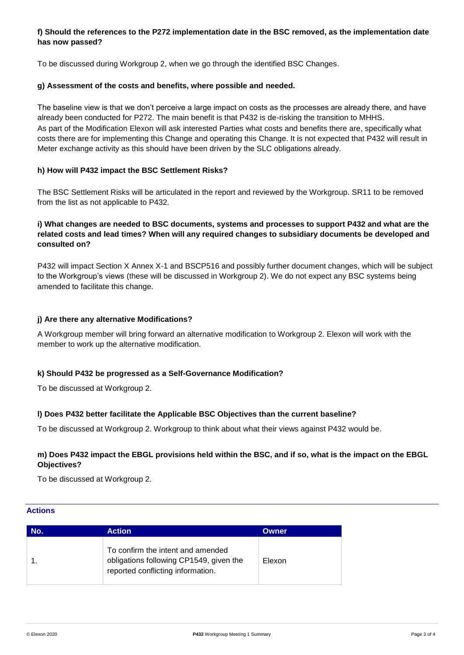# **f) Should the references to the P272 implementation date in the BSC removed, as the implementation date has now passed?**

To be discussed during Workgroup 2, when we go through the identified BSC Changes.

#### **g) Assessment of the costs and benefits, where possible and needed.**

The baseline view is that we don't perceive a large impact on costs as the processes are already there, and have already been conducted for P272. The main benefit is that P432 is de-risking the transition to MHHS. As part of the Modification Elexon will ask interested Parties what costs and benefits there are, specifically what costs there are for implementing this Change and operating this Change. It is not expected that P432 will result in Meter exchange activity as this should have been driven by the SLC obligations already.

#### **h) How will P432 impact the BSC Settlement Risks?**

The BSC Settlement Risks will be articulated in the report and reviewed by the Workgroup. SR11 to be removed from the list as not applicable to P432.

# **i) What changes are needed to BSC documents, systems and processes to support P432 and what are the related costs and lead times? When will any required changes to subsidiary documents be developed and consulted on?**

P432 will impact Section X Annex X-1 and BSCP516 and possibly further document changes, which will be subject to the Workgroup's views (these will be discussed in Workgroup 2). We do not expect any BSC systems being amended to facilitate this change.

#### **j) Are there any alternative Modifications?**

A Workgroup member will bring forward an alternative modification to Workgroup 2. Elexon will work with the member to work up the alternative modification.

#### **k) Should P432 be progressed as a Self-Governance Modification?**

To be discussed at Workgroup 2.

# **l) Does P432 better facilitate the Applicable BSC Objectives than the current baseline?**

To be discussed at Workgroup 2. Workgroup to think about what their views against P432 would be.

# **m) Does P432 impact the EBGL provisions held within the BSC, and if so, what is the impact on the EBGL Objectives?**

To be discussed at Workgroup 2.

#### **Actions**

| No. | <b>Action</b>                                                                                                     | <b>Owner</b> |
|-----|-------------------------------------------------------------------------------------------------------------------|--------------|
|     | To confirm the intent and amended<br>obligations following CP1549, given the<br>reported conflicting information. | Elexon       |